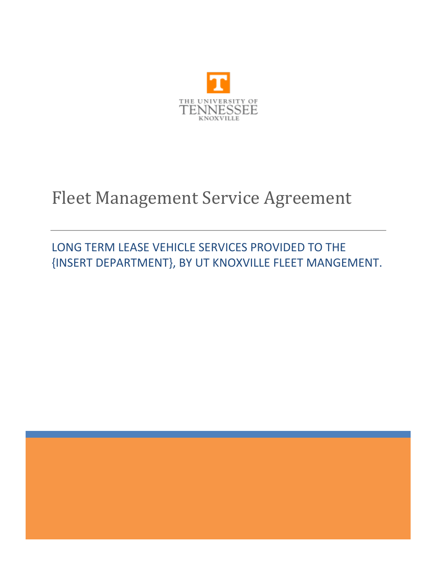

# Fleet Management Service Agreement

## LONG TERM LEASE VEHICLE SERVICES PROVIDED TO THE {INSERT DEPARTMENT}, BY UT KNOXVILLE FLEET MANGEMENT.

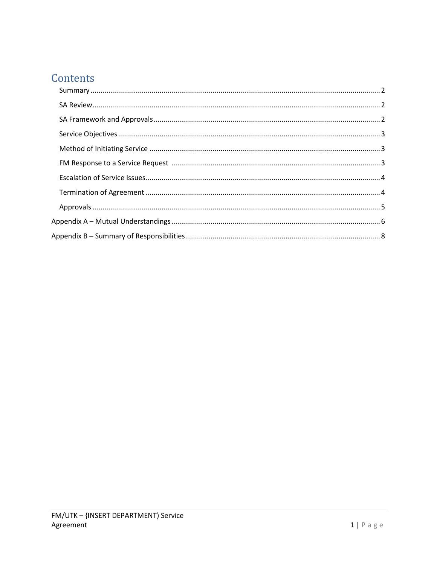## Contents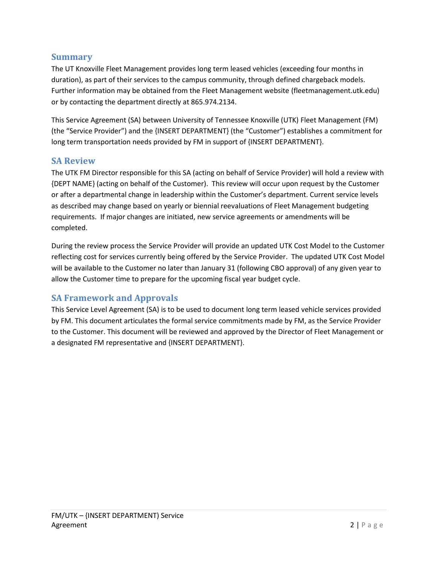#### <span id="page-2-0"></span>**Summary**

The UT Knoxville Fleet Management provides long term leased vehicles (exceeding four months in duration), as part of their services to the campus community, through defined chargeback models. Further information may be obtained from the Fleet Management website (fleetmanagement.utk.edu) or by contacting the department directly at 865.974.2134.

This Service Agreement (SA) between University of Tennessee Knoxville (UTK) Fleet Management (FM) (the "Service Provider") and the {INSERT DEPARTMENT} (the "Customer") establishes a commitment for long term transportation needs provided by FM in support of {INSERT DEPARTMENT}.

#### <span id="page-2-1"></span>**SA Review**

The UTK FM Director responsible for this SA (acting on behalf of Service Provider) will hold a review with {DEPT NAME} (acting on behalf of the Customer). This review will occur upon request by the Customer or after a departmental change in leadership within the Customer's department. Current service levels as described may change based on yearly or biennial reevaluations of Fleet Management budgeting requirements. If major changes are initiated, new service agreements or amendments will be completed.

During the review process the Service Provider will provide an updated UTK Cost Model to the Customer reflecting cost for services currently being offered by the Service Provider. The updated UTK Cost Model will be available to the Customer no later than January 31 (following CBO approval) of any given year to allow the Customer time to prepare for the upcoming fiscal year budget cycle.

#### <span id="page-2-2"></span>**SA Framework and Approvals**

This Service Level Agreement (SA) is to be used to document long term leased vehicle services provided by FM. This document articulates the formal service commitments made by FM, as the Service Provider to the Customer. This document will be reviewed and approved by the Director of Fleet Management or a designated FM representative and {INSERT DEPARTMENT}.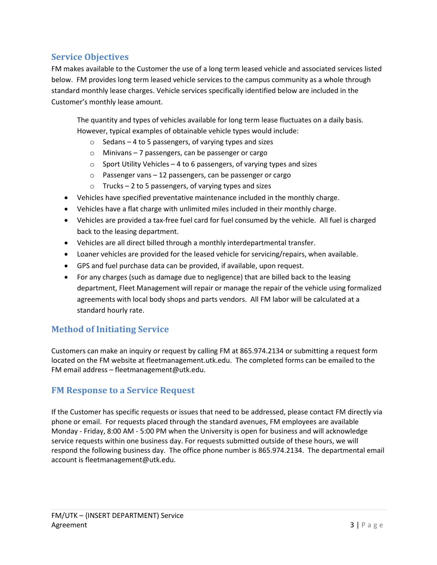#### <span id="page-3-0"></span>**Service Objectives**

FM makes available to the Customer the use of a long term leased vehicle and associated services listed below. FM provides long term leased vehicle services to the campus community as a whole through standard monthly lease charges. Vehicle services specifically identified below are included in the Customer's monthly lease amount.

The quantity and types of vehicles available for long term lease fluctuates on a daily basis. However, typical examples of obtainable vehicle types would include:

- o Sedans 4 to 5 passengers, of varying types and sizes
- o Minivans 7 passengers, can be passenger or cargo
- o Sport Utility Vehicles 4 to 6 passengers, of varying types and sizes
- $\circ$  Passenger vans 12 passengers, can be passenger or cargo
- $\circ$  Trucks 2 to 5 passengers, of varying types and sizes
- Vehicles have specified preventative maintenance included in the monthly charge.
- Vehicles have a flat charge with unlimited miles included in their monthly charge.
- Vehicles are provided a tax-free fuel card for fuel consumed by the vehicle. All fuel is charged back to the leasing department.
- Vehicles are all direct billed through a monthly interdepartmental transfer.
- Loaner vehicles are provided for the leased vehicle for servicing/repairs, when available.
- GPS and fuel purchase data can be provided, if available, upon request.
- For any charges (such as damage due to negligence) that are billed back to the leasing department, Fleet Management will repair or manage the repair of the vehicle using formalized agreements with local body shops and parts vendors. All FM labor will be calculated at a standard hourly rate.

#### <span id="page-3-1"></span>**Method of Initiating Service**

Customers can make an inquiry or request by calling FM at 865.974.2134 or submitting a request form located on the FM website at fleetmanagement.utk.edu. The completed forms can be emailed to the FM email address – fleetmanagement@utk.edu.

#### <span id="page-3-2"></span>**FM Response to a Service Request**

If the Customer has specific requests or issues that need to be addressed, please contact FM directly via phone or email. For requests placed through the standard avenues, FM employees are available Monday - Friday, 8:00 AM - 5:00 PM when the University is open for business and will acknowledge service requests within one business day. For requests submitted outside of these hours, we will respond the following business day. The office phone number is 865.974.2134. The departmental email account is fleetmanagement@utk.edu.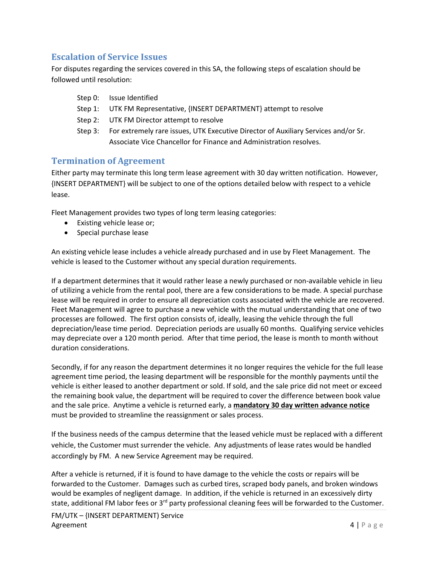#### <span id="page-4-0"></span>**Escalation of Service Issues**

For disputes regarding the services covered in this SA, the following steps of escalation should be followed until resolution:

- Step 0: Issue Identified
- Step 1: UTK FM Representative, {INSERT DEPARTMENT} attempt to resolve
- Step 2: UTK FM Director attempt to resolve
- Step 3: For extremely rare issues, UTK Executive Director of Auxiliary Services and/or Sr. Associate Vice Chancellor for Finance and Administration resolves.

#### <span id="page-4-1"></span>**Termination of Agreement**

Either party may terminate this long term lease agreement with 30 day written notification. However, {INSERT DEPARTMENT} will be subject to one of the options detailed below with respect to a vehicle lease.

Fleet Management provides two types of long term leasing categories:

- Existing vehicle lease or;
- Special purchase lease

An existing vehicle lease includes a vehicle already purchased and in use by Fleet Management. The vehicle is leased to the Customer without any special duration requirements.

If a department determines that it would rather lease a newly purchased or non-available vehicle in lieu of utilizing a vehicle from the rental pool, there are a few considerations to be made. A special purchase lease will be required in order to ensure all depreciation costs associated with the vehicle are recovered. Fleet Management will agree to purchase a new vehicle with the mutual understanding that one of two processes are followed. The first option consists of, ideally, leasing the vehicle through the full depreciation/lease time period. Depreciation periods are usually 60 months. Qualifying service vehicles may depreciate over a 120 month period. After that time period, the lease is month to month without duration considerations.

Secondly, if for any reason the department determines it no longer requires the vehicle for the full lease agreement time period, the leasing department will be responsible for the monthly payments until the vehicle is either leased to another department or sold. If sold, and the sale price did not meet or exceed the remaining book value, the department will be required to cover the difference between book value and the sale price. Anytime a vehicle is returned early, a **mandatory 30 day written advance notice** must be provided to streamline the reassignment or sales process.

If the business needs of the campus determine that the leased vehicle must be replaced with a different vehicle, the Customer must surrender the vehicle. Any adjustments of lease rates would be handled accordingly by FM. A new Service Agreement may be required.

After a vehicle is returned, if it is found to have damage to the vehicle the costs or repairs will be forwarded to the Customer. Damages such as curbed tires, scraped body panels, and broken windows would be examples of negligent damage. In addition, if the vehicle is returned in an excessively dirty state, additional FM labor fees or 3<sup>rd</sup> party professional cleaning fees will be forwarded to the Customer.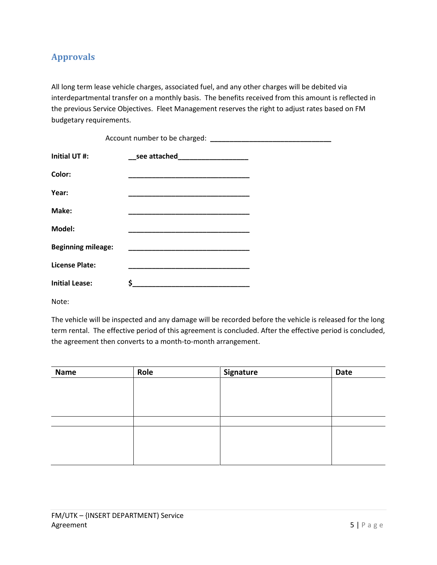#### <span id="page-5-0"></span>**Approvals**

All long term lease vehicle charges, associated fuel, and any other charges will be debited via interdepartmental transfer on a monthly basis. The benefits received from this amount is reflected in the previous Service Objectives. Fleet Management reserves the right to adjust rates based on FM budgetary requirements.

| Initial UT #:             | __see attached______________________                                                                                   |  |  |  |  |  |
|---------------------------|------------------------------------------------------------------------------------------------------------------------|--|--|--|--|--|
| Color:                    |                                                                                                                        |  |  |  |  |  |
| Year:                     | <u> 1989 - Johann John Stone, markin amerikan ba</u>                                                                   |  |  |  |  |  |
| Make:                     | <u> 1999 - Johann John Stone, mars et al. (</u>                                                                        |  |  |  |  |  |
| Model:                    |                                                                                                                        |  |  |  |  |  |
| <b>Beginning mileage:</b> | <u> 1999 - Johann John Harry Harry Harry Harry Harry Harry Harry Harry Harry Harry Harry Harry Harry Harry Harry H</u> |  |  |  |  |  |
| License Plate:            |                                                                                                                        |  |  |  |  |  |
| <b>Initial Lease:</b>     | S                                                                                                                      |  |  |  |  |  |

Note:

The vehicle will be inspected and any damage will be recorded before the vehicle is released for the long term rental. The effective period of this agreement is concluded. After the effective period is concluded, the agreement then converts to a month-to-month arrangement.

| Name | Role | Signature | Date |
|------|------|-----------|------|
|      |      |           |      |
|      |      |           |      |
|      |      |           |      |
|      |      |           |      |
|      |      |           |      |
|      |      |           |      |
|      |      |           |      |
|      |      |           |      |
|      |      |           |      |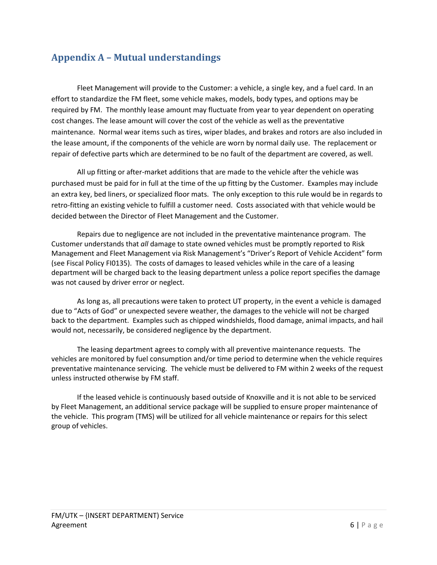### <span id="page-6-0"></span>**Appendix A – Mutual understandings**

Fleet Management will provide to the Customer: a vehicle, a single key, and a fuel card. In an effort to standardize the FM fleet, some vehicle makes, models, body types, and options may be required by FM. The monthly lease amount may fluctuate from year to year dependent on operating cost changes. The lease amount will cover the cost of the vehicle as well as the preventative maintenance. Normal wear items such as tires, wiper blades, and brakes and rotors are also included in the lease amount, if the components of the vehicle are worn by normal daily use. The replacement or repair of defective parts which are determined to be no fault of the department are covered, as well.

All up fitting or after-market additions that are made to the vehicle after the vehicle was purchased must be paid for in full at the time of the up fitting by the Customer. Examples may include an extra key, bed liners, or specialized floor mats. The only exception to this rule would be in regards to retro-fitting an existing vehicle to fulfill a customer need. Costs associated with that vehicle would be decided between the Director of Fleet Management and the Customer.

Repairs due to negligence are not included in the preventative maintenance program. The Customer understands that *all* damage to state owned vehicles must be promptly reported to Risk Management and Fleet Management via Risk Management's "Driver's Report of Vehicle Accident" form (see Fiscal Policy FI0135). The costs of damages to leased vehicles while in the care of a leasing department will be charged back to the leasing department unless a police report specifies the damage was not caused by driver error or neglect.

As long as, all precautions were taken to protect UT property, in the event a vehicle is damaged due to "Acts of God" or unexpected severe weather, the damages to the vehicle will not be charged back to the department. Examples such as chipped windshields, flood damage, animal impacts, and hail would not, necessarily, be considered negligence by the department.

The leasing department agrees to comply with all preventive maintenance requests. The vehicles are monitored by fuel consumption and/or time period to determine when the vehicle requires preventative maintenance servicing. The vehicle must be delivered to FM within 2 weeks of the request unless instructed otherwise by FM staff.

If the leased vehicle is continuously based outside of Knoxville and it is not able to be serviced by Fleet Management, an additional service package will be supplied to ensure proper maintenance of the vehicle. This program (TMS) will be utilized for all vehicle maintenance or repairs for this select group of vehicles.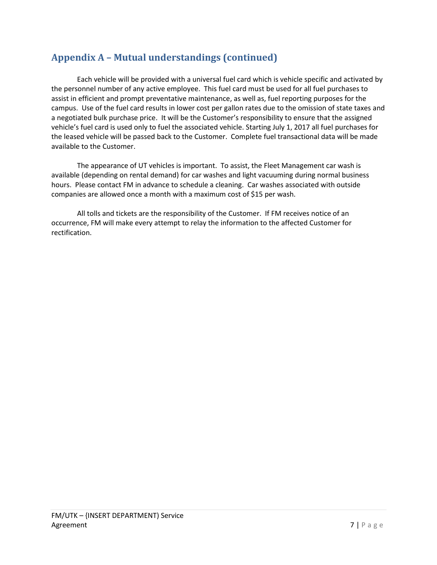## **Appendix A – Mutual understandings (continued)**

Each vehicle will be provided with a universal fuel card which is vehicle specific and activated by the personnel number of any active employee. This fuel card must be used for all fuel purchases to assist in efficient and prompt preventative maintenance, as well as, fuel reporting purposes for the campus. Use of the fuel card results in lower cost per gallon rates due to the omission of state taxes and a negotiated bulk purchase price. It will be the Customer's responsibility to ensure that the assigned vehicle's fuel card is used only to fuel the associated vehicle. Starting July 1, 2017 all fuel purchases for the leased vehicle will be passed back to the Customer. Complete fuel transactional data will be made available to the Customer.

The appearance of UT vehicles is important. To assist, the Fleet Management car wash is available (depending on rental demand) for car washes and light vacuuming during normal business hours. Please contact FM in advance to schedule a cleaning. Car washes associated with outside companies are allowed once a month with a maximum cost of \$15 per wash.

All tolls and tickets are the responsibility of the Customer. If FM receives notice of an occurrence, FM will make every attempt to relay the information to the affected Customer for rectification.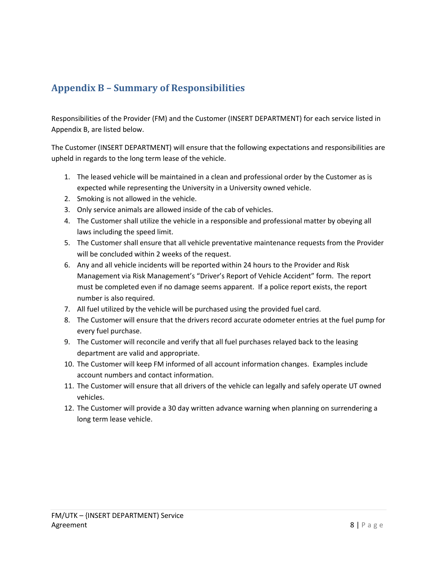## <span id="page-8-0"></span>**Appendix B – Summary of Responsibilities**

Responsibilities of the Provider (FM) and the Customer (INSERT DEPARTMENT) for each service listed in Appendix B, are listed below.

The Customer (INSERT DEPARTMENT) will ensure that the following expectations and responsibilities are upheld in regards to the long term lease of the vehicle.

- 1. The leased vehicle will be maintained in a clean and professional order by the Customer as is expected while representing the University in a University owned vehicle.
- 2. Smoking is not allowed in the vehicle.
- 3. Only service animals are allowed inside of the cab of vehicles.
- 4. The Customer shall utilize the vehicle in a responsible and professional matter by obeying all laws including the speed limit.
- 5. The Customer shall ensure that all vehicle preventative maintenance requests from the Provider will be concluded within 2 weeks of the request.
- 6. Any and all vehicle incidents will be reported within 24 hours to the Provider and Risk Management via Risk Management's "Driver's Report of Vehicle Accident" form. The report must be completed even if no damage seems apparent. If a police report exists, the report number is also required.
- 7. All fuel utilized by the vehicle will be purchased using the provided fuel card.
- 8. The Customer will ensure that the drivers record accurate odometer entries at the fuel pump for every fuel purchase.
- 9. The Customer will reconcile and verify that all fuel purchases relayed back to the leasing department are valid and appropriate.
- 10. The Customer will keep FM informed of all account information changes. Examples include account numbers and contact information.
- 11. The Customer will ensure that all drivers of the vehicle can legally and safely operate UT owned vehicles.
- 12. The Customer will provide a 30 day written advance warning when planning on surrendering a long term lease vehicle.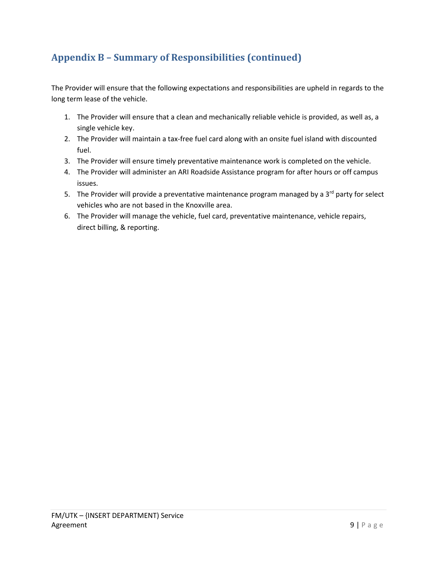## **Appendix B – Summary of Responsibilities (continued)**

The Provider will ensure that the following expectations and responsibilities are upheld in regards to the long term lease of the vehicle.

- 1. The Provider will ensure that a clean and mechanically reliable vehicle is provided, as well as, a single vehicle key.
- 2. The Provider will maintain a tax-free fuel card along with an onsite fuel island with discounted fuel.
- 3. The Provider will ensure timely preventative maintenance work is completed on the vehicle.
- 4. The Provider will administer an ARI Roadside Assistance program for after hours or off campus issues.
- 5. The Provider will provide a preventative maintenance program managed by a  $3<sup>rd</sup>$  party for select vehicles who are not based in the Knoxville area.
- 6. The Provider will manage the vehicle, fuel card, preventative maintenance, vehicle repairs, direct billing, & reporting.